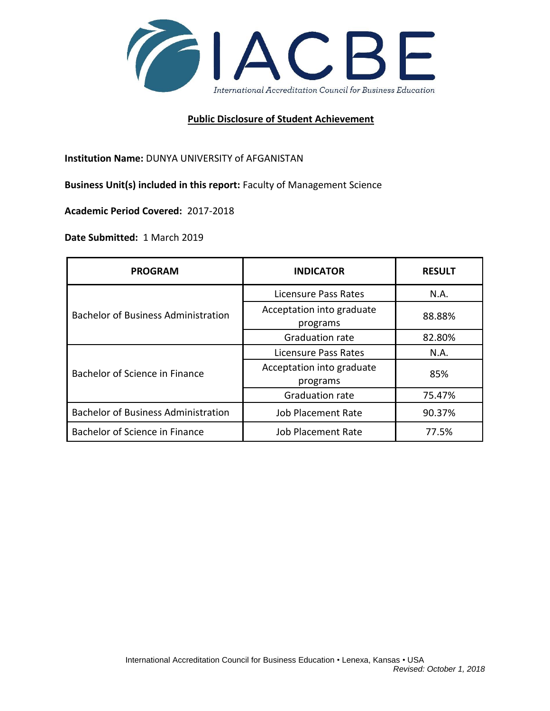

## **Public Disclosure of Student Achievement**

**Institution Name:** DUNYA UNIVERSITY of AFGANISTAN

**Business Unit(s) included in this report:** Faculty of Management Science

**Academic Period Covered:** 2017-2018

**Date Submitted:** 1 March 2019

| <b>PROGRAM</b>                             | <b>INDICATOR</b>                      | <b>RESULT</b> |
|--------------------------------------------|---------------------------------------|---------------|
| <b>Bachelor of Business Administration</b> | Licensure Pass Rates                  | N.A.          |
|                                            | Acceptation into graduate<br>programs | 88.88%        |
|                                            | <b>Graduation rate</b>                | 82.80%        |
| Bachelor of Science in Finance             | Licensure Pass Rates                  | N.A.          |
|                                            | Acceptation into graduate<br>programs | 85%           |
|                                            | <b>Graduation rate</b>                | 75.47%        |
| <b>Bachelor of Business Administration</b> | <b>Job Placement Rate</b>             | 90.37%        |
| Bachelor of Science in Finance             | <b>Job Placement Rate</b>             | 77.5%         |